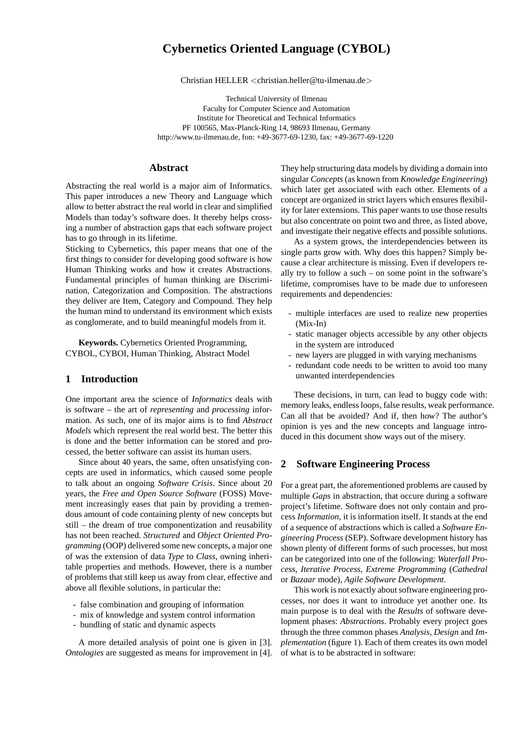# **Cybernetics Oriented Language (CYBOL)**

Christian HELLER <christian.heller@tu-ilmenau.de>

Technical University of Ilmenau Faculty for Computer Science and Automation Institute for Theoretical and Technical Informatics PF 100565, Max-Planck-Ring 14, 98693 Ilmenau, Germany http://www.tu-ilmenau.de, fon: +49-3677-69-1230, fax: +49-3677-69-1220

# **Abstract**

Abstracting the real world is a major aim of Informatics. This paper introduces a new Theory and Language which allow to better abstract the real world in clear and simplified Models than today's software does. It thereby helps crossing a number of abstraction gaps that each software project has to go through in its lifetime.

Sticking to Cybernetics, this paper means that one of the first things to consider for developing good software is how Human Thinking works and how it creates Abstractions. Fundamental principles of human thinking are Discrimination, Categorization and Composition. The abstractions they deliver are Item, Category and Compound. They help the human mind to understand its environment which exists as conglomerate, and to build meaningful models from it.

**Keywords.** Cybernetics Oriented Programming, CYBOL, CYBOI, Human Thinking, Abstract Model

# **1 Introduction**

One important area the science of *Informatics* deals with is software – the art of *representing* and *processing* information. As such, one of its major aims is to find *Abstract Models* which represent the real world best. The better this is done and the better information can be stored and processed, the better software can assist its human users.

Since about 40 years, the same, often unsatisfying concepts are used in informatics, which caused some people to talk about an ongoing *Software Crisis*. Since about 20 years, the *Free and Open Source Software* (FOSS) Movement increasingly eases that pain by providing a tremendous amount of code containing plenty of new concepts but still – the dream of true componentization and reusability has not been reached. *Structured* and *Object Oriented Programming* (OOP) delivered some new concepts, a major one of was the extension of data *Type* to *Class*, owning inheritable properties and methods. However, there is a number of problems that still keep us away from clear, effective and above all flexible solutions, in particular the:

- false combination and grouping of information
- mix of knowledge and system control information
- bundling of static and dynamic aspects

A more detailed analysis of point one is given in [3]. *Ontologies* are suggested as means for improvement in [4]. They help structuring data models by dividing a domain into singular *Concepts* (as known from *Knowledge Engineering*) which later get associated with each other. Elements of a concept are organized in strict layers which ensures flexibility for later extensions. This paper wants to use those results but also concentrate on point two and three, as listed above, and investigate their negative effects and possible solutions.

As a system grows, the interdependencies between its single parts grow with. Why does this happen? Simply because a clear architecture is missing. Even if developers really try to follow a such – on some point in the software's lifetime, compromises have to be made due to unforeseen requirements and dependencies:

- multiple interfaces are used to realize new properties (Mix-In)
- static manager objects accessible by any other objects in the system are introduced
- new layers are plugged in with varying mechanisms
- redundant code needs to be written to avoid too many unwanted interdependencies

These decisions, in turn, can lead to buggy code with: memory leaks, endless loops, false results, weak performance. Can all that be avoided? And if, then how? The author's opinion is yes and the new concepts and language introduced in this document show ways out of the misery.

# **2 Software Engineering Process**

For a great part, the aforementioned problems are caused by multiple *Gaps* in abstraction, that occure during a software project's lifetime. Software does not only contain and process *Information*, it is information itself. It stands at the end of a sequence of abstractions which is called a *Software Engineering Process* (SEP). Software development history has shown plenty of different forms of such processes, but most can be categorized into one of the following: *Waterfall Process*, *Iterative Process*, *Extreme Programming* (*Cathedral* or *Bazaar* mode), *Agile Software Development*.

This work is not exactly about software engineering processes, nor does it want to introduce yet another one. Its main purpose is to deal with the *Results* of software development phases: *Abstractions*. Probably every project goes through the three common phases *Analysis*, *Design* and *Implementation* (figure 1). Each of them creates its own model of what is to be abstracted in software: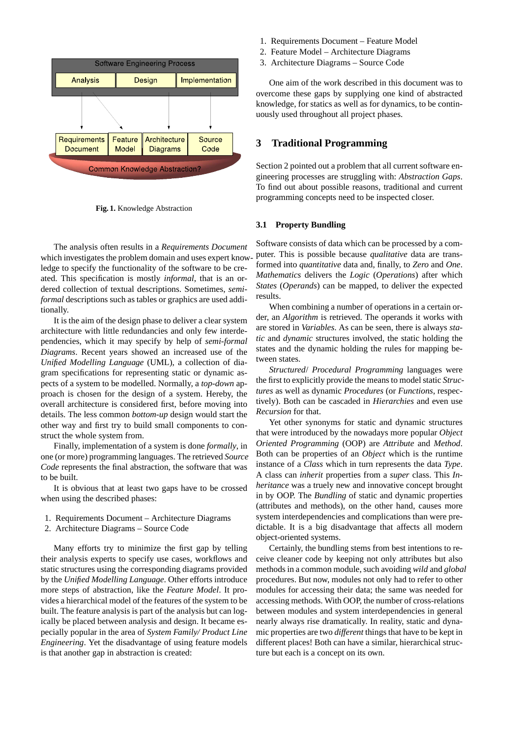

**Fig. 1.** Knowledge Abstraction

The analysis often results in a *Requirements Document* which investigates the problem domain and uses expert knowledge to specify the functionality of the software to be created. This specification is mostly *informal*, that is an ordered collection of textual descriptions. Sometimes, *semiformal* descriptions such as tables or graphics are used additionally.

It is the aim of the design phase to deliver a clear system architecture with little redundancies and only few interdependencies, which it may specify by help of *semi-formal Diagrams*. Recent years showed an increased use of the *Unified Modelling Language* (UML), a collection of diagram specifications for representing static or dynamic aspects of a system to be modelled. Normally, a *top-down* approach is chosen for the design of a system. Hereby, the overall architecture is considered first, before moving into details. The less common *bottom-up* design would start the other way and first try to build small components to construct the whole system from.

Finally, implementation of a system is done *formally*, in one (or more) programming languages. The retrieved *Source Code* represents the final abstraction, the software that was to be built.

It is obvious that at least two gaps have to be crossed when using the described phases:

- 1. Requirements Document Architecture Diagrams
- 2. Architecture Diagrams Source Code

Many efforts try to minimize the first gap by telling their analysis experts to specify use cases, workflows and static structures using the corresponding diagrams provided by the *Unified Modelling Language*. Other efforts introduce more steps of abstraction, like the *Feature Model*. It provides a hierarchical model of the features of the system to be built. The feature analysis is part of the analysis but can logically be placed between analysis and design. It became especially popular in the area of *System Family/ Product Line Engineering*. Yet the disadvantage of using feature models is that another gap in abstraction is created:

- 1. Requirements Document Feature Model
- 2. Feature Model Architecture Diagrams
- 3. Architecture Diagrams Source Code

One aim of the work described in this document was to overcome these gaps by supplying one kind of abstracted knowledge, for statics as well as for dynamics, to be continuously used throughout all project phases.

### **3 Traditional Programming**

Section 2 pointed out a problem that all current software engineering processes are struggling with: *Abstraction Gaps*. To find out about possible reasons, traditional and current programming concepts need to be inspected closer.

#### **3.1 Property Bundling**

Software consists of data which can be processed by a computer. This is possible because *qualitative* data are transformed into *quantitative* data and, finally, to *Zero* and *One*. *Mathematics* delivers the *Logic* (*Operations*) after which *States* (*Operands*) can be mapped, to deliver the expected results.

When combining a number of operations in a certain order, an *Algorithm* is retrieved. The operands it works with are stored in *Variables*. As can be seen, there is always *static* and *dynamic* structures involved, the static holding the states and the dynamic holding the rules for mapping between states.

*Structured*/ *Procedural Programming* languages were the first to explicitly provide the means to model static *Structures* as well as dynamic *Procedures* (or *Functions*, respectively). Both can be cascaded in *Hierarchies* and even use *Recursion* for that.

Yet other synonyms for static and dynamic structures that were introduced by the nowadays more popular *Object Oriented Programming* (OOP) are *Attribute* and *Method*. Both can be properties of an *Object* which is the runtime instance of a *Class* which in turn represents the data *Type*. A class can *inherit* properties from a *super* class. This *Inheritance* was a truely new and innovative concept brought in by OOP. The *Bundling* of static and dynamic properties (attributes and methods), on the other hand, causes more system interdependencies and complications than were predictable. It is a big disadvantage that affects all modern object-oriented systems.

Certainly, the bundling stems from best intentions to receive cleaner code by keeping not only attributes but also methods in a common module, such avoiding *wild* and *global* procedures. But now, modules not only had to refer to other modules for accessing their data; the same was needed for accessing methods. With OOP, the number of cross-relations between modules and system interdependencies in general nearly always rise dramatically. In reality, static and dynamic properties are two *different* things that have to be kept in different places! Both can have a similar, hierarchical structure but each is a concept on its own.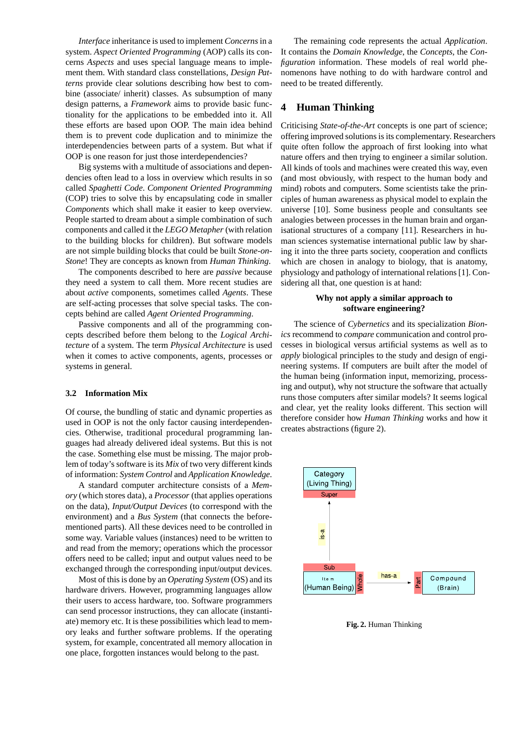*Interface* inheritance is used to implement *Concerns*in a system. *Aspect Oriented Programming* (AOP) calls its concerns *Aspects* and uses special language means to implement them. With standard class constellations, *Design Patterns* provide clear solutions describing how best to combine (associate/ inherit) classes. As subsumption of many design patterns, a *Framework* aims to provide basic functionality for the applications to be embedded into it. All these efforts are based upon OOP. The main idea behind them is to prevent code duplication and to minimize the interdependencies between parts of a system. But what if OOP is one reason for just those interdependencies?

Big systems with a multitude of associations and dependencies often lead to a loss in overview which results in so called *Spaghetti Code*. *Component Oriented Programming* (COP) tries to solve this by encapsulating code in smaller *Components* which shall make it easier to keep overview. People started to dream about a simple combination of such components and called it the *LEGO Metapher* (with relation to the building blocks for children). But software models are not simple building blocks that could be built *Stone-on-Stone*! They are concepts as known from *Human Thinking*.

The components described to here are *passive* because they need a system to call them. More recent studies are about *active* components, sometimes called *Agents*. These are self-acting processes that solve special tasks. The concepts behind are called *Agent Oriented Programming*.

Passive components and all of the programming concepts described before them belong to the *Logical Architecture* of a system. The term *Physical Architecture* is used when it comes to active components, agents, processes or systems in general.

#### **3.2 Information Mix**

Of course, the bundling of static and dynamic properties as used in OOP is not the only factor causing interdependencies. Otherwise, traditional procedural programming languages had already delivered ideal systems. But this is not the case. Something else must be missing. The major problem of today's software is its *Mix* of two very different kinds of information: *System Control* and *Application Knowledge*.

A standard computer architecture consists of a *Memory* (which stores data), a *Processor* (that applies operations on the data), *Input/Output Devices* (to correspond with the environment) and a *Bus System* (that connects the beforementioned parts). All these devices need to be controlled in some way. Variable values (instances) need to be written to and read from the memory; operations which the processor offers need to be called; input and output values need to be exchanged through the corresponding input/output devices.

Most of this is done by an *Operating System* (OS) and its hardware drivers. However, programming languages allow their users to access hardware, too. Software programmers can send processor instructions, they can allocate (instantiate) memory etc. It is these possibilities which lead to memory leaks and further software problems. If the operating system, for example, concentrated all memory allocation in one place, forgotten instances would belong to the past.

The remaining code represents the actual *Application*. It contains the *Domain Knowledge*, the *Concepts*, the *Configuration* information. These models of real world phenomenons have nothing to do with hardware control and need to be treated differently.

# **4 Human Thinking**

Criticising *State-of-the-Art* concepts is one part of science; offering improved solutions is its complementary. Researchers quite often follow the approach of first looking into what nature offers and then trying to engineer a similar solution. All kinds of tools and machines were created this way, even (and most obviously, with respect to the human body and mind) robots and computers. Some scientists take the principles of human awareness as physical model to explain the universe [10]. Some business people and consultants see analogies between processes in the human brain and organisational structures of a company [11]. Researchers in human sciences systematise international public law by sharing it into the three parts society, cooperation and conflicts which are chosen in analogy to biology, that is anatomy, physiology and pathology of international relations [1]. Considering all that, one question is at hand:

### **Why not apply a similar approach to software engineering?**

The science of *Cybernetics* and its specialization *Bionics* recommend to *compare* communication and control processes in biological versus artificial systems as well as to *apply* biological principles to the study and design of engineering systems. If computers are built after the model of the human being (information input, memorizing, processing and output), why not structure the software that actually runs those computers after similar models? It seems logical and clear, yet the reality looks different. This section will therefore consider how *Human Thinking* works and how it creates abstractions (figure 2).



**Fig. 2.** Human Thinking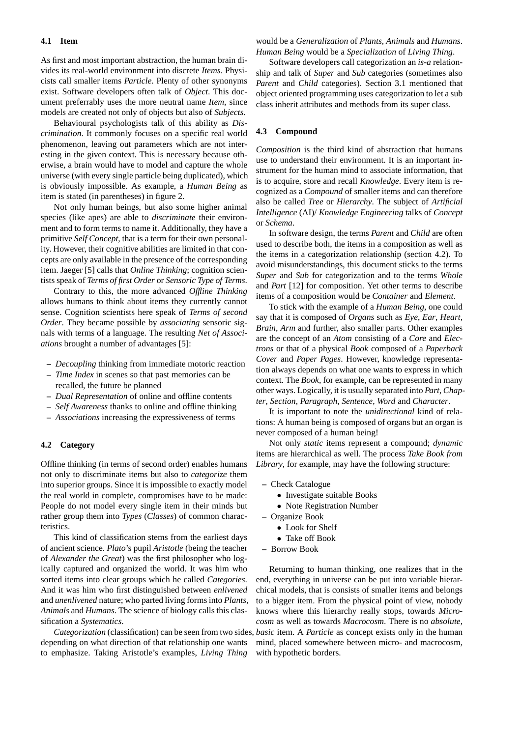#### **4.1 Item**

As first and most important abstraction, the human brain divides its real-world environment into discrete *Items*. Physicists call smaller items *Particle*. Plenty of other synonyms exist. Software developers often talk of *Object*. This document preferrably uses the more neutral name *Item*, since models are created not only of objects but also of *Subjects*.

Behavioural psychologists talk of this ability as *Discrimination*. It commonly focuses on a specific real world phenomenon, leaving out parameters which are not interesting in the given context. This is necessary because otherwise, a brain would have to model and capture the whole universe (with every single particle being duplicated), which is obviously impossible. As example, a *Human Being* as item is stated (in parentheses) in figure 2.

Not only human beings, but also some higher animal species (like apes) are able to *discriminate* their environment and to form terms to name it. Additionally, they have a primitive *Self Concept*, that is a term for their own personality. However, their cognitive abilities are limited in that concepts are only available in the presence of the corresponding item. Jaeger [5] calls that *Online Thinking*; cognition scientists speak of *Terms of first Order* or *Sensoric Type of Terms*.

Contrary to this, the more advanced *Offline Thinking* allows humans to think about items they currently cannot sense. Cognition scientists here speak of *Terms of second Order*. They became possible by *associating* sensoric signals with terms of a language. The resulting *Net of Associations* brought a number of advantages [5]:

- **–** *Decoupling* thinking from immediate motoric reaction
- **–** *Time Index* in scenes so that past memories can be recalled, the future be planned
- **–** *Dual Representation* of online and offline contents
- **–** *Self Awareness* thanks to online and offline thinking
- **–** *Associations* increasing the expressiveness of terms

### **4.2 Category**

Offline thinking (in terms of second order) enables humans not only to discriminate items but also to *categorize* them into superior groups. Since it is impossible to exactly model the real world in complete, compromises have to be made: People do not model every single item in their minds but rather group them into *Types* (*Classes*) of common characteristics.

This kind of classification stems from the earliest days of ancient science. *Plato*'s pupil *Aristotle* (being the teacher of *Alexander the Great*) was the first philosopher who logically captured and organized the world. It was him who sorted items into clear groups which he called *Categories*. And it was him who first distinguished between *enlivened* and *unenlivened* nature; who parted living forms into *Plants*, *Animals* and *Humans*. The science of biology calls this classification a *Systematics*.

depending on what direction of that relationship one wants to emphasize. Taking Aristotle's examples, *Living Thing*

would be a *Generalization* of *Plants*, *Animals* and *Humans*. *Human Being* would be a *Specialization* of *Living Thing*.

Software developers call categorization an *is-a* relationship and talk of *Super* and *Sub* categories (sometimes also *Parent* and *Child* categories). Section 3.1 mentioned that object oriented programming uses categorization to let a sub class inherit attributes and methods from its super class.

#### **4.3 Compound**

*Composition* is the third kind of abstraction that humans use to understand their environment. It is an important instrument for the human mind to associate information, that is to acquire, store and recall *Knowledge*. Every item is recognized as a *Compound* of smaller items and can therefore also be called *Tree* or *Hierarchy*. The subject of *Artificial Intelligence* (AI)/ *Knowledge Engineering* talks of *Concept* or *Schema*.

In software design, the terms *Parent* and *Child* are often used to describe both, the items in a composition as well as the items in a categorization relationship (section 4.2). To avoid misunderstandings, this document sticks to the terms *Super* and *Sub* for categorization and to the terms *Whole* and *Part* [12] for composition. Yet other terms to describe items of a composition would be *Container* and *Element*.

To stick with the example of a *Human Being*, one could say that it is composed of *Organs* such as *Eye*, *Ear*, *Heart*, *Brain*, *Arm* and further, also smaller parts. Other examples are the concept of an *Atom* consisting of a *Core* and *Electrons* or that of a physical *Book* composed of a *Paperback Cover* and *Paper Pages*. However, knowledge representation always depends on what one wants to express in which context. The *Book*, for example, can be represented in many other ways. Logically, it is usually separated into *Part*, *Chapter*, *Section*, *Paragraph*, *Sentence*, *Word* and *Character*.

It is important to note the *unidirectional* kind of relations: A human being is composed of organs but an organ is never composed of a human being!

Not only *static* items represent a compound; *dynamic* items are hierarchical as well. The process *Take Book from Library*, for example, may have the following structure:

- **–** Check Catalogue
	- Investigate suitable Books
	- Note Registration Number
- **–** Organize Book
	- Look for Shelf
	- Take off Book
- **–** Borrow Book

*Categorization* (classification) can be seen from two sides, *basic* item. A *Particle* as concept exists only in the human Returning to human thinking, one realizes that in the end, everything in universe can be put into variable hierarchical models, that is consists of smaller items and belongs to a bigger item. From the physical point of view, nobody knows where this hierarchy really stops, towards *Microcosm* as well as towards *Macrocosm*. There is no *absolute*, mind, placed somewhere between micro- and macrocosm, with hypothetic borders.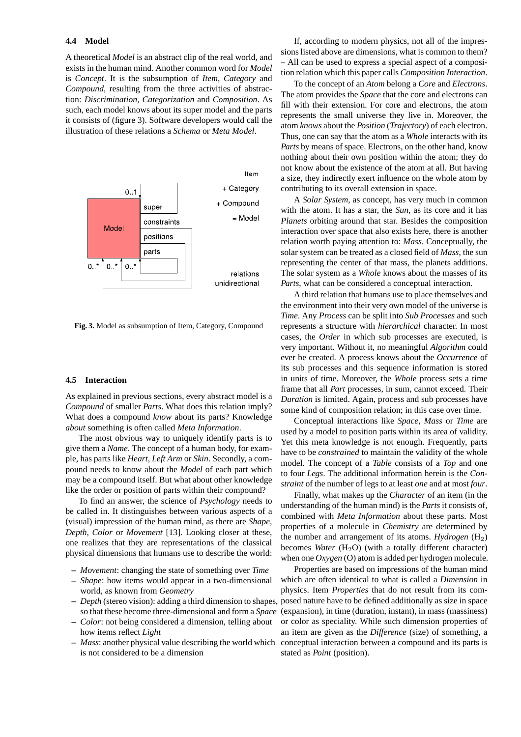A theoretical *Model* is an abstract clip of the real world, and exists in the human mind. Another common word for *Model* is *Concept*. It is the subsumption of *Item*, *Category* and *Compound*, resulting from the three activities of abstraction: *Discrimination*, *Categorization* and *Composition*. As such, each model knows about its super model and the parts it consists of (figure 3). Software developers would call the illustration of these relations a *Schema* or *Meta Model*.



**Fig. 3.** Model as subsumption of Item, Category, Compound

#### **4.5 Interaction**

As explained in previous sections, every abstract model is a *Compound* of smaller *Parts*. What does this relation imply? What does a compound *know* about its parts? Knowledge *about* something is often called *Meta Information*.

The most obvious way to uniquely identify parts is to give them a *Name*. The concept of a human body, for example, has parts like *Heart*, *Left Arm* or *Skin*. Secondly, a compound needs to know about the *Model* of each part which may be a compound itself. But what about other knowledge like the order or position of parts within their compound?

To find an answer, the science of *Psychology* needs to be called in. It distinguishes between various aspects of a (visual) impression of the human mind, as there are *Shape*, *Depth*, *Color* or *Movement* [13]. Looking closer at these, one realizes that they are representations of the classical physical dimensions that humans use to describe the world:

- **–** *Movement*: changing the state of something over *Time*
- **–** *Shape*: how items would appear in a two-dimensional world, as known from *Geometry*
- so that these become three-dimensional and form a *Space*
- **–** *Color*: not being considered a dimension, telling about how items reflect *Light*
- is not considered to be a dimension

If, according to modern physics, not all of the impressions listed above are dimensions, what is common to them? – All can be used to express a special aspect of a composition relation which this paper calls *Composition Interaction*.

To the concept of an *Atom* belong a *Core* and *Electrons*. The atom provides the *Space* that the core and electrons can fill with their extension. For core and electrons, the atom represents the small universe they live in. Moreover, the atom *knows* about the *Position* (*Trajectory*) of each electron. Thus, one can say that the atom as a *Whole* interacts with its *Parts* by means of space. Electrons, on the other hand, know nothing about their own position within the atom; they do not know about the existence of the atom at all. But having a size, they indirectly exert influence on the whole atom by contributing to its overall extension in space.

A *Solar System*, as concept, has very much in common with the atom. It has a star, the *Sun*, as its core and it has *Planets* orbiting around that star. Besides the composition interaction over space that also exists here, there is another relation worth paying attention to: *Mass*. Conceptually, the solar system can be treated as a closed field of *Mass*, the sun representing the center of that mass, the planets additions. The solar system as a *Whole* knows about the masses of its *Parts*, what can be considered a conceptual interaction.

A third relation that humans use to place themselves and the environment into their very own model of the universe is *Time*. Any *Process* can be split into *Sub Processes* and such represents a structure with *hierarchical* character. In most cases, the *Order* in which sub processes are executed, is very important. Without it, no meaningful *Algorithm* could ever be created. A process knows about the *Occurrence* of its sub processes and this sequence information is stored in units of time. Moreover, the *Whole* process sets a time frame that all *Part* processes, in sum, cannot exceed. Their *Duration* is limited. Again, process and sub processes have some kind of composition relation; in this case over time.

Conceptual interactions like *Space*, *Mass* or *Time* are used by a model to position parts within its area of validity. Yet this meta knowledge is not enough. Frequently, parts have to be *constrained* to maintain the validity of the whole model. The concept of a *Table* consists of a *Top* and one to four *Legs*. The additional information herein is the *Constraint* of the number of legs to at least *one* and at most *four*.

Finally, what makes up the *Character* of an item (in the understanding of the human mind) is the *Parts* it consists of, combined with *Meta Information* about these parts. Most properties of a molecule in *Chemistry* are determined by the number and arrangement of its atoms. *Hydrogen*  $(H_2)$ becomes *Water*  $(H_2O)$  (with a totally different character) when one *Oxygen* (O) atom is added per hydrogen molecule.

**–** *Depth* (stereo vision): adding a third dimension to shapes, posed nature have to be defined additionally as size in space **–** *Mass*: another physical value describing the world which conceptual interaction between a compound and its parts is Properties are based on impressions of the human mind which are often identical to what is called a *Dimension* in physics. Item *Properties* that do not result from its com-(expansion), in time (duration, instant), in mass (massiness) or color as speciality. While such dimension properties of an item are given as the *Difference* (size) of something, a stated as *Point* (position).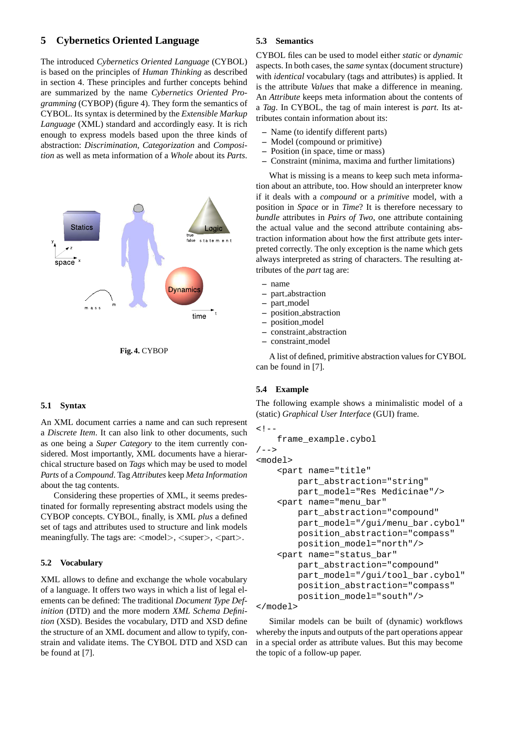## **5 Cybernetics Oriented Language**

The introduced *Cybernetics Oriented Language* (CYBOL) is based on the principles of *Human Thinking* as described in section 4. These principles and further concepts behind are summarized by the name *Cybernetics Oriented Programming* (CYBOP) (figure 4). They form the semantics of CYBOL. Its syntax is determined by the *Extensible Markup Language* (XML) standard and accordingly easy. It is rich enough to express models based upon the three kinds of abstraction: *Discrimination*, *Categorization* and *Composition* as well as meta information of a *Whole* about its *Parts*.





### **5.1 Syntax**

An XML document carries a name and can such represent a *Discrete Item*. It can also link to other documents, such as one being a *Super Category* to the item currently considered. Most importantly, XML documents have a hierarchical structure based on *Tags* which may be used to model *Parts* of a *Compound*. Tag *Attributes* keep *Meta Information* about the tag contents.

Considering these properties of XML, it seems predestinated for formally representing abstract models using the CYBOP concepts. CYBOL, finally, is XML *plus* a defined set of tags and attributes used to structure and link models meaningfully. The tags are:  $\langle \text{model} \rangle$ ,  $\langle \text{super} \rangle$ ,  $\langle \text{part} \rangle$ .

### **5.2 Vocabulary**

XML allows to define and exchange the whole vocabulary of a language. It offers two ways in which a list of legal elements can be defined: The traditional *Document Type Definition* (DTD) and the more modern *XML Schema Definition* (XSD). Besides the vocabulary, DTD and XSD define the structure of an XML document and allow to typify, constrain and validate items. The CYBOL DTD and XSD can be found at [7].

#### **5.3 Semantics**

CYBOL files can be used to model either *static* or *dynamic* aspects. In both cases, the *same* syntax (document structure) with *identical* vocabulary (tags and attributes) is applied. It is the attribute *Values* that make a difference in meaning. An *Attribute* keeps meta information about the contents of a *Tag*. In CYBOL, the tag of main interest is *part*. Its attributes contain information about its:

- **–** Name (to identify different parts)
- **–** Model (compound or primitive)
- **–** Position (in space, time or mass)
- **–** Constraint (minima, maxima and further limitations)

What is missing is a means to keep such meta information about an attribute, too. How should an interpreter know if it deals with a *compound* or a *primitive* model, with a position in *Space* or in *Time*? It is therefore necessary to *bundle* attributes in *Pairs of Two*, one attribute containing the actual value and the second attribute containing abstraction information about how the first attribute gets interpreted correctly. The only exception is the name which gets always interpreted as string of characters. The resulting attributes of the *part* tag are:

- **–** name
- **–** part abstraction
- **–** part model
- **–** position abstraction
- **–** position model
- **–** constraint abstraction
- **–** constraint model

A list of defined, primitive abstraction values for CYBOL can be found in [7].

### **5.4 Example**

The following example shows a minimalistic model of a (static) *Graphical User Interface* (GUI) frame.

```
\leq ! -frame_example.cybol
/ - - ><model>
    <part name="title"
        part abstraction="string"
        part_model="Res Medicinae"/>
    <part name="menu_bar"
        part_abstraction="compound"
        part_model="/qui/menu_bar.cybol"
        position_abstraction="compass"
        position_model="north"/>
    <part name="status_bar"
        part_abstraction="compound"
        part_model="/gui/tool_bar.cybol"
        position_abstraction="compass"
        position_model="south"/>
```

```
</model>
```
Similar models can be built of (dynamic) workflows whereby the inputs and outputs of the part operations appear in a special order as attribute values. But this may become the topic of a follow-up paper.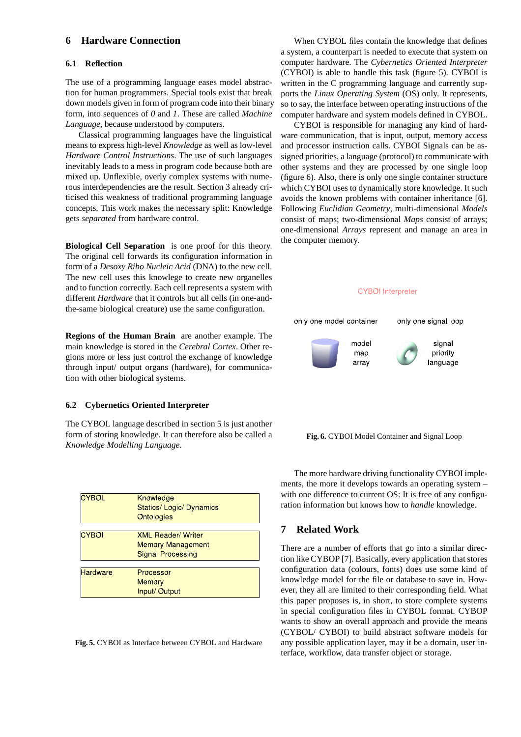# **6 Hardware Connection**

### **6.1 Reflection**

The use of a programming language eases model abstraction for human programmers. Special tools exist that break down models given in form of program code into their binary form, into sequences of *0* and *1*. These are called *Machine Language*, because understood by computers.

Classical programming languages have the linguistical means to express high-level *Knowledge* as well as low-level *Hardware Control Instructions*. The use of such languages inevitably leads to a mess in program code because both are mixed up. Unflexible, overly complex systems with numerous interdependencies are the result. Section 3 already criticised this weakness of traditional programming language concepts. This work makes the necessary split: Knowledge gets *separated* from hardware control.

**Biological Cell Separation** is one proof for this theory. The original cell forwards its configuration information in form of a *Desoxy Ribo Nucleic Acid* (DNA) to the new cell. The new cell uses this knowlege to create new organelles and to function correctly. Each cell represents a system with different *Hardware* that it controls but all cells (in one-andthe-same biological creature) use the same configuration.

**Regions of the Human Brain** are another example. The main knowledge is stored in the *Cerebral Cortex*. Other regions more or less just control the exchange of knowledge through input/ output organs (hardware), for communication with other biological systems.

### **6.2 Cybernetics Oriented Interpreter**

The CYBOL language described in section 5 is just another form of storing knowledge. It can therefore also be called a *Knowledge Modelling Language*.

| Knowledge                       |
|---------------------------------|
| <b>Statics/ Logic/ Dynamics</b> |
| <b>Ontologies</b>               |
|                                 |
| <b>XML Reader/Writer</b>        |
| <b>Memory Management</b>        |
| <b>Signal Processing</b>        |
|                                 |
| Processor                       |
| <b>Memory</b>                   |
| Input/ Output                   |
|                                 |

**Fig. 5.** CYBOI as Interface between CYBOL and Hardware

When CYBOL files contain the knowledge that defines a system, a counterpart is needed to execute that system on computer hardware. The *Cybernetics Oriented Interpreter* (CYBOI) is able to handle this task (figure 5). CYBOI is written in the C programming language and currently supports the *Linux Operating System* (OS) only. It represents, so to say, the interface between operating instructions of the computer hardware and system models defined in CYBOL.

CYBOI is responsible for managing any kind of hardware communication, that is input, output, memory access and processor instruction calls. CYBOI Signals can be assigned priorities, a language (protocol) to communicate with other systems and they are processed by one single loop (figure 6). Also, there is only one single container structure which CYBOI uses to dynamically store knowledge. It such avoids the known problems with container inheritance [6]. Following *Euclidian Geometry*, multi-dimensional *Models* consist of maps; two-dimensional *Maps* consist of arrays; one-dimensional *Arrays* represent and manage an area in the computer memory.



**Fig. 6.** CYBOI Model Container and Signal Loop

The more hardware driving functionality CYBOI implements, the more it develops towards an operating system – with one difference to current OS: It is free of any configuration information but knows how to *handle* knowledge.

### **7 Related Work**

There are a number of efforts that go into a similar direction like CYBOP [7]. Basically, every application that stores configuration data (colours, fonts) does use some kind of knowledge model for the file or database to save in. However, they all are limited to their corresponding field. What this paper proposes is, in short, to store complete systems in special configuration files in CYBOL format. CYBOP wants to show an overall approach and provide the means (CYBOL/ CYBOI) to build abstract software models for any possible application layer, may it be a domain, user interface, workflow, data transfer object or storage.